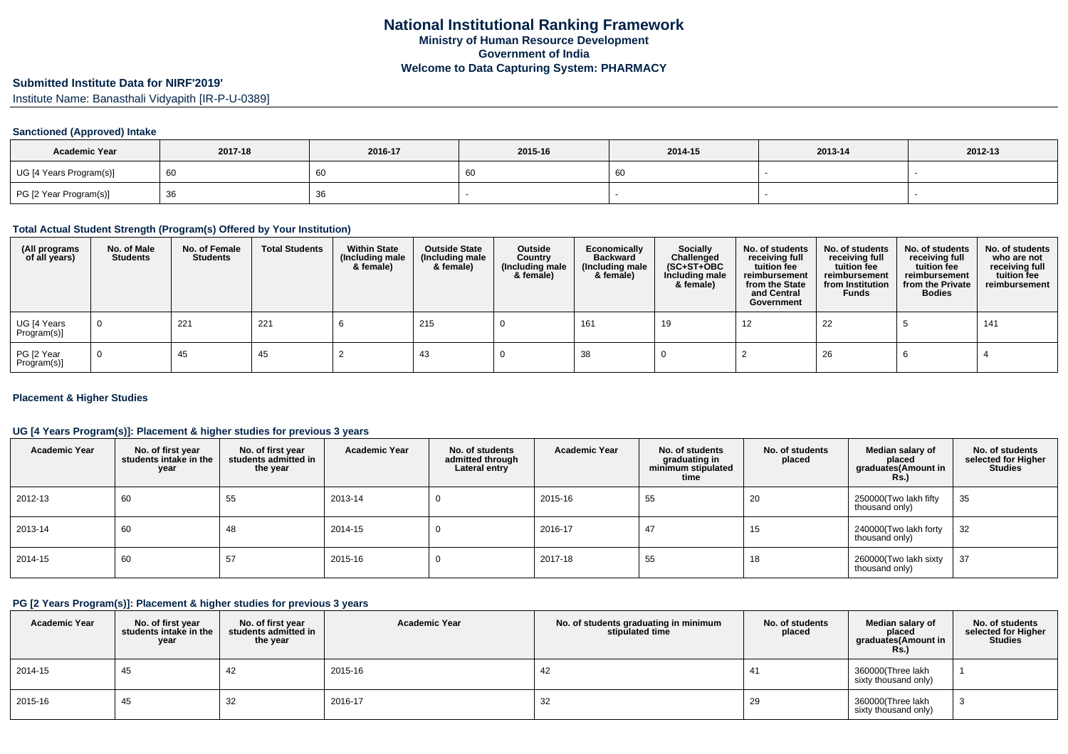# **Submitted Institute Data for NIRF'2019'**

Institute Name: Banasthali Vidyapith [IR-P-U-0389]

### **Sanctioned (Approved) Intake**

| <b>Academic Year</b>    | 2017-18 | 2016-17 | 2015-16 | 2014-15 | 2013-14 | 2012-13 |
|-------------------------|---------|---------|---------|---------|---------|---------|
| UG [4 Years Program(s)] |         | 60      | ิ๒เ     |         |         |         |
| PG [2 Year Program(s)]  |         | 36      |         |         |         |         |

### **Total Actual Student Strength (Program(s) Offered by Your Institution)**

| (All programs<br>of all years) | No. of Male<br><b>Students</b> | No. of Female<br><b>Students</b> | <b>Total Students</b> | <b>Within State</b><br>(Including male<br>& female) | <b>Outside State</b><br>(Including male<br>& female) | Outside<br>Country<br>(Including male<br>& female) | Economically<br><b>Backward</b><br>(Including male<br>& female) | <b>Socially</b><br>Challenged<br>$(SC+ST+OBC)$<br>Including male<br>& female) | No. of students<br>receiving full<br>tuition fee<br>reimbursement<br>from the State<br>and Central<br>Government | No. of students<br>receiving full<br>tuition fee<br>reimbursement<br>from Institution<br><b>Funds</b> | No. of students<br>receiving full<br>tuition fee<br>reimbursement<br>from the Private<br><b>Bodies</b> | No. of students<br>who are not<br>receiving full<br>tuition fee<br>reimbursement |
|--------------------------------|--------------------------------|----------------------------------|-----------------------|-----------------------------------------------------|------------------------------------------------------|----------------------------------------------------|-----------------------------------------------------------------|-------------------------------------------------------------------------------|------------------------------------------------------------------------------------------------------------------|-------------------------------------------------------------------------------------------------------|--------------------------------------------------------------------------------------------------------|----------------------------------------------------------------------------------|
| UG [4 Years<br>Program(s)]     | $\mathbf 0$                    | 221                              | 221                   |                                                     | 215                                                  |                                                    | 161                                                             | 19                                                                            | 12                                                                                                               | 22                                                                                                    |                                                                                                        | 141                                                                              |
| PG [2 Year<br>Program(s)]      | $\Omega$                       | 45                               | 45                    |                                                     | 43                                                   |                                                    | 38                                                              |                                                                               |                                                                                                                  | 26                                                                                                    |                                                                                                        |                                                                                  |

### **Placement & Higher Studies**

### **UG [4 Years Program(s)]: Placement & higher studies for previous 3 years**

| <b>Academic Year</b> | No. of first year<br>students intake in the<br>year | No. of first vear<br>students admitted in<br>the year | <b>Academic Year</b> | No. of students<br>admitted through<br>Lateral entry | <b>Academic Year</b> | No. of students<br>graduating in<br>minimum stipulated<br>time | No. of students<br>placed | Median salary of<br>placed<br>graduates(Amount in<br><b>Rs.)</b> | No. of students<br>selected for Higher<br><b>Studies</b> |
|----------------------|-----------------------------------------------------|-------------------------------------------------------|----------------------|------------------------------------------------------|----------------------|----------------------------------------------------------------|---------------------------|------------------------------------------------------------------|----------------------------------------------------------|
| 2012-13              | 60                                                  | 55                                                    | 2013-14              |                                                      | 2015-16              | 55                                                             | 20                        | 250000(Two lakh fifty<br>thousand only)                          | 35                                                       |
| 2013-14              | 60                                                  | 48                                                    | 2014-15              |                                                      | 2016-17              | 47                                                             | 15                        | 240000(Two lakh forty<br>thousand only)                          | 32                                                       |
| 2014-15              | 60                                                  | 57                                                    | 2015-16              |                                                      | 2017-18              | 55                                                             | 18                        | 260000(Two lakh sixty<br>thousand only)                          | 37                                                       |

### **PG [2 Years Program(s)]: Placement & higher studies for previous 3 years**

| <b>Academic Year</b> | No. of first year<br>students intake in the<br>year | No. of first vear<br>students admitted in<br>the year | <b>Academic Year</b> | No. of students graduating in minimum<br>stipulated time | No. of students<br>placed | Median salary of<br>placed<br>graduates (Amount in<br>Rs.) | No. of students<br>selected for Higher<br><b>Studies</b> |
|----------------------|-----------------------------------------------------|-------------------------------------------------------|----------------------|----------------------------------------------------------|---------------------------|------------------------------------------------------------|----------------------------------------------------------|
| 2014-15              | 45                                                  | 42                                                    | 2015-16              | 42                                                       |                           | 360000(Three lakh<br>sixty thousand only)                  |                                                          |
| 2015-16              | 45                                                  | 32                                                    | 2016-17              | 32                                                       | 29                        | 360000(Three lakh<br>sixty thousand only)                  |                                                          |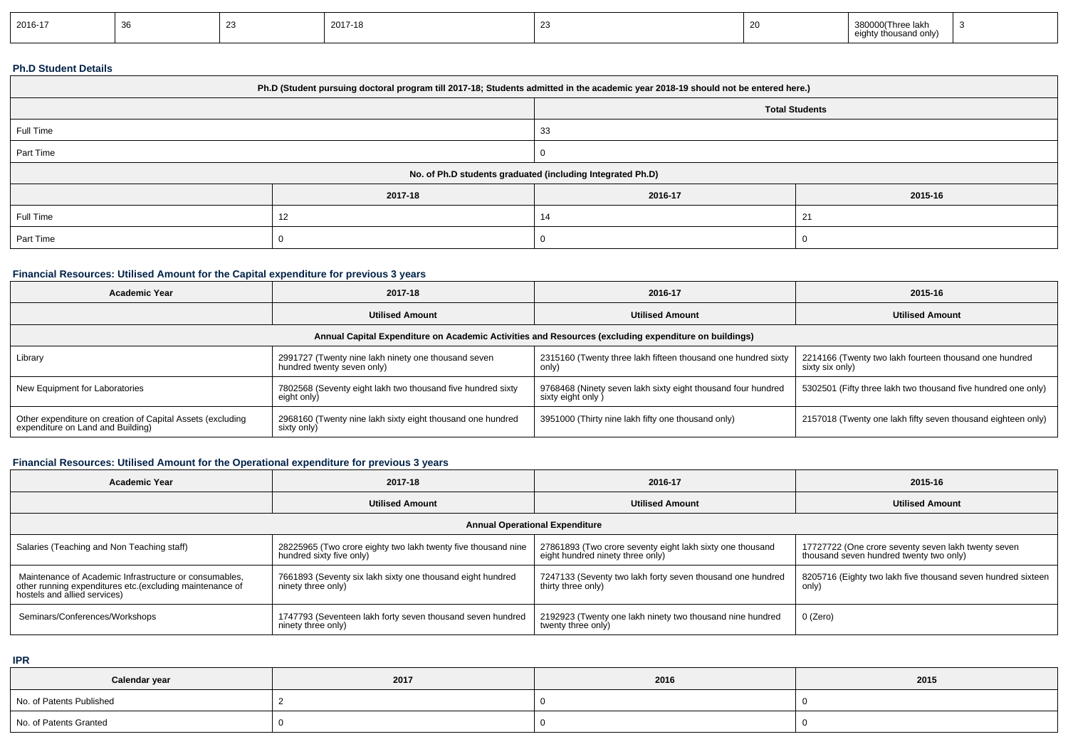| 2016-17 |  |  | 2017-18 |  |  | .<br>380000(Three lakh<br>ty thousand only)<br>ninh <sub>1</sub> |  |
|---------|--|--|---------|--|--|------------------------------------------------------------------|--|
|---------|--|--|---------|--|--|------------------------------------------------------------------|--|

### **Ph.D Student Details**

| Ph.D (Student pursuing doctoral program till 2017-18; Students admitted in the academic year 2018-19 should not be entered here.) |         |                       |         |  |  |
|-----------------------------------------------------------------------------------------------------------------------------------|---------|-----------------------|---------|--|--|
|                                                                                                                                   |         | <b>Total Students</b> |         |  |  |
| Full Time                                                                                                                         |         | 33                    |         |  |  |
| Part Time                                                                                                                         |         |                       |         |  |  |
| No. of Ph.D students graduated (including Integrated Ph.D)                                                                        |         |                       |         |  |  |
|                                                                                                                                   | 2017-18 | 2016-17               | 2015-16 |  |  |
| Full Time                                                                                                                         |         |                       | 21      |  |  |
| Part Time                                                                                                                         |         |                       |         |  |  |

### **Financial Resources: Utilised Amount for the Capital expenditure for previous 3 years**

| Academic Year                                                                                        | 2017-18                                                                           | 2016-17                                                                           | 2015-16                                                                   |  |  |  |  |
|------------------------------------------------------------------------------------------------------|-----------------------------------------------------------------------------------|-----------------------------------------------------------------------------------|---------------------------------------------------------------------------|--|--|--|--|
|                                                                                                      | <b>Utilised Amount</b>                                                            | <b>Utilised Amount</b>                                                            | <b>Utilised Amount</b>                                                    |  |  |  |  |
| Annual Capital Expenditure on Academic Activities and Resources (excluding expenditure on buildings) |                                                                                   |                                                                                   |                                                                           |  |  |  |  |
| Library                                                                                              | 2991727 (Twenty nine lakh ninety one thousand seven<br>hundred twenty seven only) | 2315160 (Twenty three lakh fifteen thousand one hundred sixty<br>only)            | 2214166 (Twenty two lakh fourteen thousand one hundred<br>sixty six only) |  |  |  |  |
| New Equipment for Laboratories                                                                       | 7802568 (Seventy eight lakh two thousand five hundred sixty<br>eight only)        | 9768468 (Ninety seven lakh sixty eight thousand four hundred<br>sixty eight only) | 5302501 (Fifty three lakh two thousand five hundred one only)             |  |  |  |  |
| Other expenditure on creation of Capital Assets (excluding<br>expenditure on Land and Building)      | 2968160 (Twenty nine lakh sixty eight thousand one hundred<br>sixty only)         | 3951000 (Thirty nine lakh fifty one thousand only)                                | 2157018 (Twenty one lakh fifty seven thousand eighteen only)              |  |  |  |  |

# **Financial Resources: Utilised Amount for the Operational expenditure for previous 3 years**

| <b>Academic Year</b>                                                                                                                                | 2017-18                                                                                   | 2016-17                                                                                       | 2015-16                                                                                        |  |  |  |  |
|-----------------------------------------------------------------------------------------------------------------------------------------------------|-------------------------------------------------------------------------------------------|-----------------------------------------------------------------------------------------------|------------------------------------------------------------------------------------------------|--|--|--|--|
|                                                                                                                                                     | <b>Utilised Amount</b>                                                                    | <b>Utilised Amount</b>                                                                        | <b>Utilised Amount</b>                                                                         |  |  |  |  |
| <b>Annual Operational Expenditure</b>                                                                                                               |                                                                                           |                                                                                               |                                                                                                |  |  |  |  |
| Salaries (Teaching and Non Teaching staff)                                                                                                          | 28225965 (Two crore eighty two lakh twenty five thousand nine<br>hundred sixty five only) | 27861893 (Two crore seventy eight lakh sixty one thousand<br>eight hundred ninety three only) | 17727722 (One crore seventy seven lakh twenty seven<br>thousand seven hundred twenty two only) |  |  |  |  |
| Maintenance of Academic Infrastructure or consumables.<br>other running expenditures etc. (excluding maintenance of<br>hostels and allied services) | 7661893 (Seventy six lakh sixty one thousand eight hundred<br>ninety three only)          | 7247133 (Seventy two lakh forty seven thousand one hundred<br>thirty three only)              | 8205716 (Eighty two lakh five thousand seven hundred sixteen<br>only)                          |  |  |  |  |
| Seminars/Conferences/Workshops                                                                                                                      | 1747793 (Seventeen lakh forty seven thousand seven hundred<br>ninety three only)          | 2192923 (Twenty one lakh ninety two thousand nine hundred<br>twenty three only)               | 0 (Zero)                                                                                       |  |  |  |  |

**IPR**

| Calendar year            | 2017 | 2016 | 2015 |
|--------------------------|------|------|------|
| No. of Patents Published |      |      |      |
| No. of Patents Granted   |      |      |      |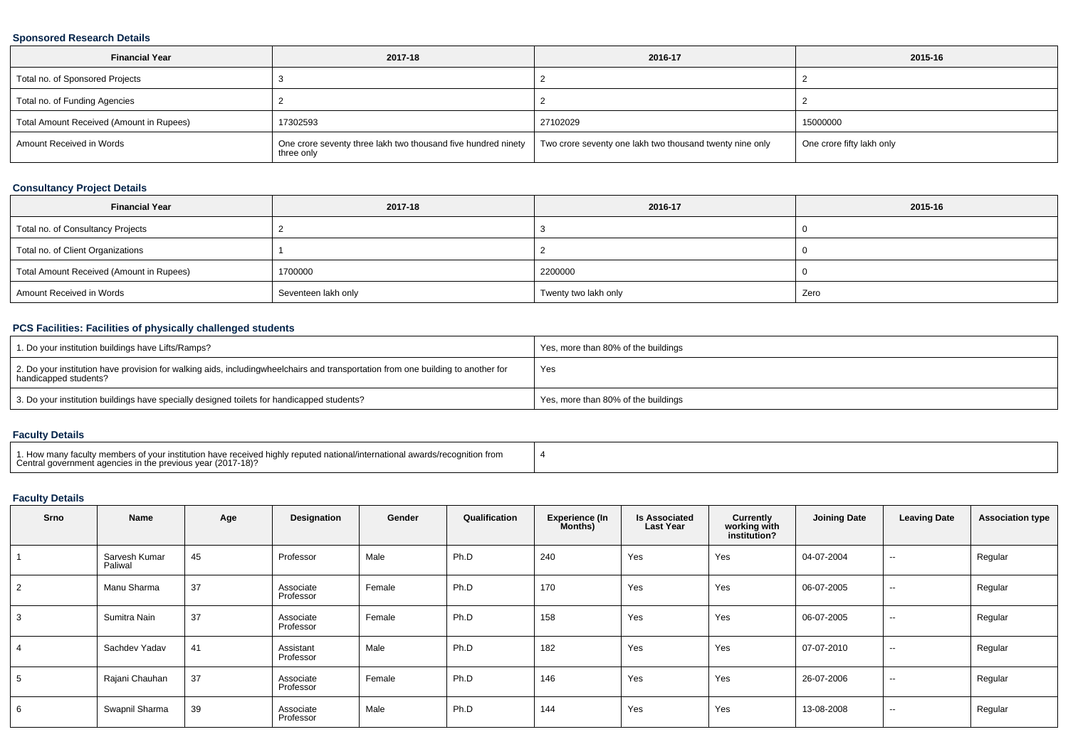### **Sponsored Research Details**

| <b>Financial Year</b>                    | 2017-18                                                                     | 2016-17                                                  | 2015-16                   |
|------------------------------------------|-----------------------------------------------------------------------------|----------------------------------------------------------|---------------------------|
| Total no. of Sponsored Projects          |                                                                             |                                                          |                           |
| Total no. of Funding Agencies            |                                                                             |                                                          |                           |
| Total Amount Received (Amount in Rupees) | 17302593                                                                    | 27102029                                                 | 15000000                  |
| Amount Received in Words                 | One crore seventy three lakh two thousand five hundred ninety<br>three only | Two crore seventy one lakh two thousand twenty nine only | One crore fifty lakh only |

### **Consultancy Project Details**

| <b>Financial Year</b>                    | 2017-18             | 2016-17              | 2015-16 |
|------------------------------------------|---------------------|----------------------|---------|
| Total no. of Consultancy Projects        |                     |                      |         |
| Total no. of Client Organizations        |                     |                      |         |
| Total Amount Received (Amount in Rupees) | 1700000             | 2200000              |         |
| Amount Received in Words                 | Seventeen lakh only | Twenty two lakh only | Zero    |

### **PCS Facilities: Facilities of physically challenged students**

| 1. Do your institution buildings have Lifts/Ramps?                                                                                                        | Yes, more than 80% of the buildings |
|-----------------------------------------------------------------------------------------------------------------------------------------------------------|-------------------------------------|
| 2. Do your institution have provision for walking aids, includingwheelchairs and transportation from one building to another for<br>handicapped students? | Yes                                 |
| 3. Do your institution buildings have specially designed toilets for handicapped students?                                                                | Yes, more than 80% of the buildings |

### **Faculty Details**

| 1. How many faculty members of your institution have received highly reputed national/international awards/recognition from<br>Central government agencies in the previous year (2017-18)? |  |
|--------------------------------------------------------------------------------------------------------------------------------------------------------------------------------------------|--|
|--------------------------------------------------------------------------------------------------------------------------------------------------------------------------------------------|--|

# **Faculty Details**

| Srno | Name                     | Age | Designation            | Gender | Qualification | <b>Experience (In</b><br><b>Months</b> ) | <b>Is Associated</b><br><b>Last Year</b> | Currently<br>working with<br>institution? | <b>Joining Date</b> | <b>Leaving Date</b> | <b>Association type</b> |
|------|--------------------------|-----|------------------------|--------|---------------|------------------------------------------|------------------------------------------|-------------------------------------------|---------------------|---------------------|-------------------------|
|      | Sarvesh Kumar<br>Paliwal | 45  | Professor              | Male   | Ph.D          | 240                                      | Yes                                      | Yes                                       | 04-07-2004          | $\sim$              | Regular                 |
|      | Manu Sharma              | 37  | Associate<br>Professor | Female | Ph.D          | 170                                      | Yes                                      | Yes                                       | 06-07-2005          | $\sim$              | Regular                 |
|      | Sumitra Nain             | 37  | Associate<br>Professor | Female | Ph.D          | 158                                      | Yes                                      | Yes                                       | 06-07-2005          | $\sim$              | Regular                 |
|      | Sachdev Yadav            | 41  | Assistant<br>Professor | Male   | Ph.D          | 182                                      | Yes                                      | Yes                                       | 07-07-2010          | $\sim$              | Regular                 |
|      | Rajani Chauhan           | 37  | Associate<br>Professor | Female | Ph.D          | 146                                      | Yes                                      | Yes                                       | 26-07-2006          | $\sim$              | Regular                 |
| - 6  | Swapnil Sharma           | 39  | Associate<br>Professor | Male   | Ph.D          | 144                                      | Yes                                      | Yes                                       | 13-08-2008          | $\sim$              | Regular                 |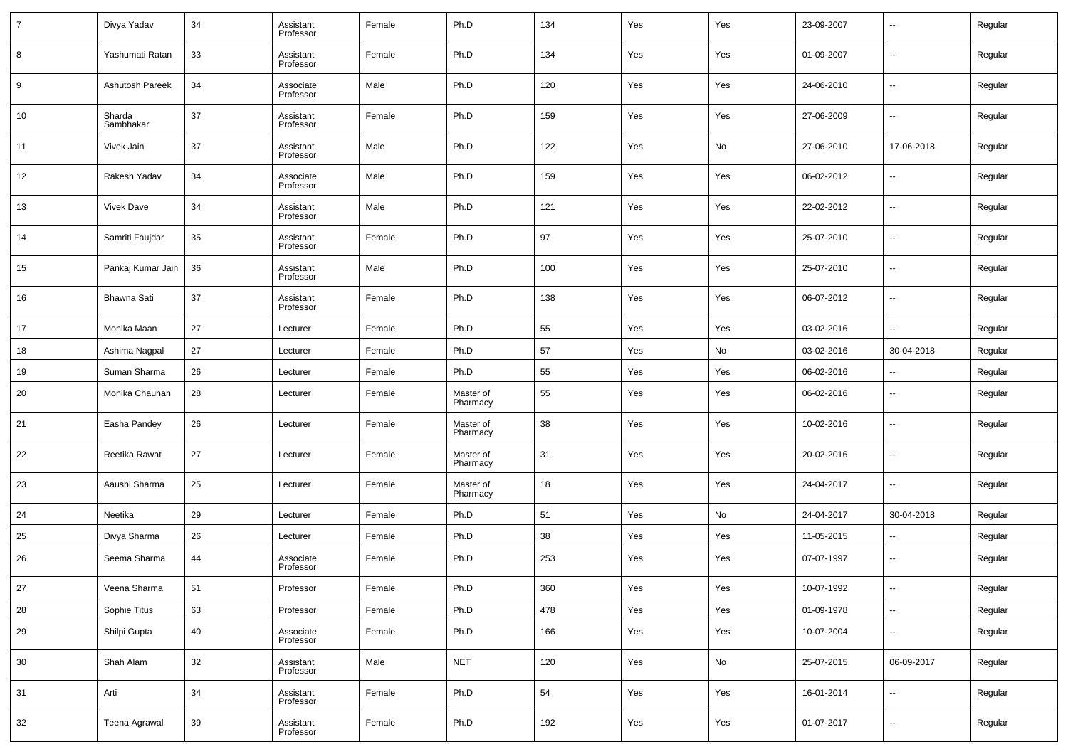| $\overline{7}$ | Divya Yadav         | 34 | Assistant<br>Professor | Female | Ph.D                  | 134 | Yes | Yes | 23-09-2007 | $\overline{\phantom{a}}$ | Regular |
|----------------|---------------------|----|------------------------|--------|-----------------------|-----|-----|-----|------------|--------------------------|---------|
| 8              | Yashumati Ratan     | 33 | Assistant<br>Professor | Female | Ph.D                  | 134 | Yes | Yes | 01-09-2007 | $\overline{\phantom{a}}$ | Regular |
| 9              | Ashutosh Pareek     | 34 | Associate<br>Professor | Male   | Ph.D                  | 120 | Yes | Yes | 24-06-2010 | $\overline{\phantom{a}}$ | Regular |
| 10             | Sharda<br>Sambhakar | 37 | Assistant<br>Professor | Female | Ph.D                  | 159 | Yes | Yes | 27-06-2009 | $\overline{\phantom{a}}$ | Regular |
| 11             | Vivek Jain          | 37 | Assistant<br>Professor | Male   | Ph.D                  | 122 | Yes | No  | 27-06-2010 | 17-06-2018               | Regular |
| 12             | Rakesh Yadav        | 34 | Associate<br>Professor | Male   | Ph.D                  | 159 | Yes | Yes | 06-02-2012 | $\overline{\phantom{a}}$ | Regular |
| 13             | Vivek Dave          | 34 | Assistant<br>Professor | Male   | Ph.D                  | 121 | Yes | Yes | 22-02-2012 | $\overline{\phantom{a}}$ | Regular |
| 14             | Samriti Faujdar     | 35 | Assistant<br>Professor | Female | Ph.D                  | 97  | Yes | Yes | 25-07-2010 | $\overline{\phantom{a}}$ | Regular |
| 15             | Pankaj Kumar Jain   | 36 | Assistant<br>Professor | Male   | Ph.D                  | 100 | Yes | Yes | 25-07-2010 | $\overline{\phantom{a}}$ | Regular |
| 16             | Bhawna Sati         | 37 | Assistant<br>Professor | Female | Ph.D                  | 138 | Yes | Yes | 06-07-2012 | $\overline{\phantom{a}}$ | Regular |
| 17             | Monika Maan         | 27 | Lecturer               | Female | Ph.D                  | 55  | Yes | Yes | 03-02-2016 | ۰.                       | Regular |
| 18             | Ashima Nagpal       | 27 | Lecturer               | Female | Ph.D                  | 57  | Yes | No  | 03-02-2016 | 30-04-2018               | Regular |
| 19             | Suman Sharma        | 26 | Lecturer               | Female | Ph.D                  | 55  | Yes | Yes | 06-02-2016 | --                       | Regular |
| 20             | Monika Chauhan      | 28 | Lecturer               | Female | Master of<br>Pharmacy | 55  | Yes | Yes | 06-02-2016 | $\overline{\phantom{a}}$ | Regular |
| 21             | Easha Pandey        | 26 | Lecturer               | Female | Master of<br>Pharmacy | 38  | Yes | Yes | 10-02-2016 | $\overline{\phantom{a}}$ | Regular |
| 22             | Reetika Rawat       | 27 | Lecturer               | Female | Master of<br>Pharmacy | 31  | Yes | Yes | 20-02-2016 | $\overline{\phantom{a}}$ | Regular |
| 23             | Aaushi Sharma       | 25 | Lecturer               | Female | Master of<br>Pharmacy | 18  | Yes | Yes | 24-04-2017 | $\overline{\phantom{a}}$ | Regular |
| 24             | Neetika             | 29 | Lecturer               | Female | Ph.D                  | 51  | Yes | No  | 24-04-2017 | 30-04-2018               | Regular |
| 25             | Divya Sharma        | 26 | Lecturer               | Female | Ph.D                  | 38  | Yes | Yes | 11-05-2015 | --                       | Regular |
| 26             | Seema Sharma        | 44 | Associate<br>Professor | Female | Ph.D                  | 253 | Yes | Yes | 07-07-1997 | $\overline{\phantom{a}}$ | Regular |
| 27             | Veena Sharma        | 51 | Professor              | Female | Ph.D                  | 360 | Yes | Yes | 10-07-1992 | ۰.                       | Regular |
| 28             | Sophie Titus        | 63 | Professor              | Female | Ph.D                  | 478 | Yes | Yes | 01-09-1978 | н.                       | Regular |
| 29             | Shilpi Gupta        | 40 | Associate<br>Professor | Female | Ph.D                  | 166 | Yes | Yes | 10-07-2004 | $\overline{\phantom{a}}$ | Regular |
| 30             | Shah Alam           | 32 | Assistant<br>Professor | Male   | <b>NET</b>            | 120 | Yes | No  | 25-07-2015 | 06-09-2017               | Regular |
| 31             | Arti                | 34 | Assistant<br>Professor | Female | Ph.D                  | 54  | Yes | Yes | 16-01-2014 | $\overline{\phantom{a}}$ | Regular |
| 32             | Teena Agrawal       | 39 | Assistant<br>Professor | Female | Ph.D                  | 192 | Yes | Yes | 01-07-2017 | $\overline{\phantom{a}}$ | Regular |